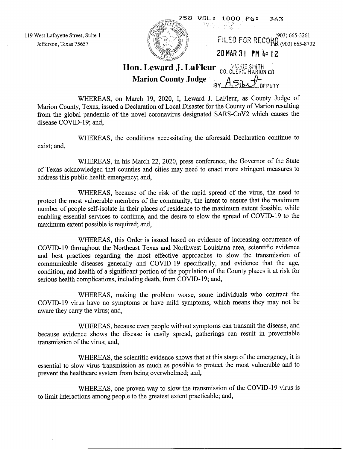119 West Lafayette Street, Suite 1 Jefferson, Texas 75657



**Marion County Judge** 

WHEREAS, on March 19, 2020, I, Leward J. LaFleur, as County Judge of Marion County, Texas, issued a Declaration of Local Disaster for the County of Marion resulting from the global pandemic of the novel coronavirus designated SARS-CoV2 which causes the disease COVID-19; and,

WHEREAS, the conditions necessitating the aforesaid Declaration continue to exist; and,

WHEREAS, in his March 22, 2020, press conference, the Governor of the State of Texas acknowledged that counties and cities may need to enact more stringent measures to address this public health emergency; and,

WHEREAS, because of the risk of the rapid spread of the virus, the need to protect the most vulnerable members of the community, the intent to ensure that the maximum number of people self-isolate in their places of residence to the maximum extent feasible, while enabling essential services to continue, and the desire to slow the spread of COVID-19 to the maximum extent possible is required; and,

WHEREAS, this Order is issued based on evidence of increasing occurrence of COVID-19 throughout the Northeast Texas and Northwest Louisiana area, scientific evidence and best practices regarding the most effective approaches to slow the transmission of communicable diseases generally and COVID-19 specifically, and evidence that the age, condition, and health of a significant portion of the population of the County places it at risk for serious health complications, including death, from COVID-19; and,

WHEREAS, making the problem worse, some individuals who contract the COVID-19 virus have no symptoms or have mild symptoms, which means they may not be aware they carry the virus; and,

WHEREAS, because even people without symptoms can transmit the disease, and because evidence shows the disease is easily spread, gatherings can result in preventable transmission of the virus; and,

WHEREAS, the scientific evidence shows that at this stage of the emergency, it is essential to slow virus transmission as much as possible to protect the most vulnerable and to prevent the healthcare system from being overwhelmed; and,

WHEREAS, one proven way to slow the transmission of the COVID-19 virus is to limit interactions among people to the greatest extent practicable; and,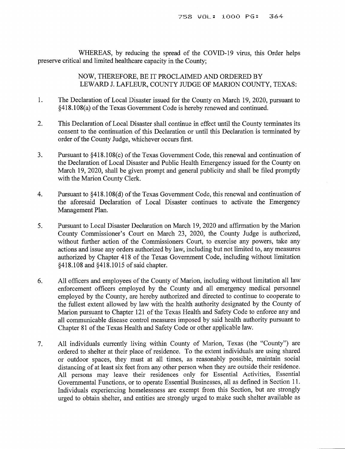WHEREAS, by reducing the spread of the COVID-19 virus, this Order helps preserve critical and limited healthcare capacity in the County;

> NOW, THEREFORE, BE IT PROCLAIMED AND ORDERED BY LEWARD J. LAFLEUR, COUNTY JUDGE OF MARION COUNTY, TEXAS:

- 1. The Declaration of Local Disaster issued for the County on March 19,2020, pursuant to §418.108(a) of the Texas Government Code is hereby renewed and continued.
- 2. This Declaration of Local Disaster shall continue in effect until the County terminates its consent to the continuation of this Declaration or until this Declaration is terminated by order of the County Judge, whichever occurs first.
- 3. Pursuant to §418.108(c) of the Texas Government Code, this renewal and continuation of the Declaration of Local Disaster and Public Health Emergency issued for the County on March 19,2020, shall be given prompt and general publicity and shall be filed promptly with the Marion County Clerk.
- 4. Pursuant to §418.108(d) of the Texas Government Code, this renewal and continuation of the aforesaid Declaration of Local Disaster continues to activate the Emergency Management Plan.
- 5. Pursuant to Local Disaster Declaration on March 19,2020 and affirmation by the Marion County Commissioner's Court on March 23, 2020, the County Judge is authorized, without further action of the Commissioners Court, to exercise any powers, take any actions and issue any orders authorized by law, including but not limited to, any measures authorized by Chapter 418 of the Texas Government Code, including without limitation §418.108 and §418.1015 of said chapter.
- 6. All officers and employees of the County of Marion, including without limitation all law enforcement officers employed by the County and all emergency medical personnel employed by the County, are hereby authorized and directed to continue to cooperate to the fullest extent allowed by law with the health authority designated by the County of Marion pursuant to Chapter 121 of the Texas Health and Safety Code to enforce any and all communicable disease control measures imposed by said health authority pursuant to Chapter 81 of the Texas Health and Safety Code or other applicable law.
- 7. All individuals currently living within County of Marion, Texas (the "County") are ordered to shelter at their place of residence. To the extent individuals are using shared or outdoor spaces, they must at all times, as reasonably possible, maintain social distancing of at least six feet from any other person when they are outside their residence. All persons may leave their residences only for Essential Activities, Essential Governmental Functions, or to operate Essential Businesses, all as defined in Section 11. Individuals experiencing homelessness are exempt from this Section, but are strongly urged to obtain shelter, and entities are strongly urged to make such shelter available as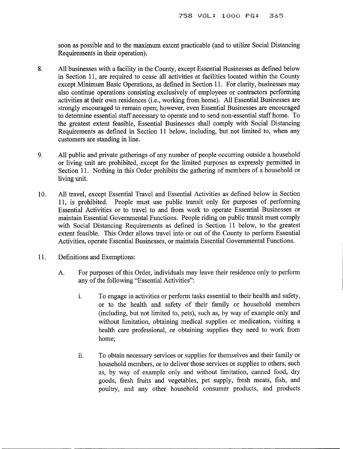soon as possible and to the maximum extent practicable (and to utilize Social Distancing Requirements in their operation).

- 8. All businesses with a facility in the County, except Essential Businesses as defined below in Section 11, are required to cease all activities at facilities located within the County except Minimum Basic Operations, as defined in Section 11. For clarity, businesses may also continue operations consisting exclusively of employees or contractors performing activities at their own residences (i.e., working from home). All Essential Businesses are strongly encouraged to remain open; however, even Essential Businesses are encouraged to determine essential staff necessary to operate and to send non-essential staffhome. To the greatest extent feasible, Essential Businesses shall comply with Social Distancing Requirements as defined in Section 11 below, including, but not limited to, when any customers are standing in line.
- 9. All public and private gatherings of any number of people occurring outside a household or living unit are prohibited, except for the limited purposes as expressly permitted in Section 11. Nothing in this Order prohibits the gathering of members of a household or living unit.
- 10. All travel, except Essential Travel and Essential Activities as defined below in Section 11, is prohibited. People must use public transit only for purposes of performing Essential Activities or to travel to and from work to operate Essential Businesses or maintain Essential Governmental Functions. People riding on public transit must comply with Social Distancing Requirements as defined in Section 11 below, to the greatest extent feasible. This Order allows travel into or out of the County to perform Essential Activities, operate Essential Businesses, or maintain Essential Governmental Functions.
- 11. Definitions and Exemptions:
	- A. For purposes of this Order, individuals may leave their residence only to perform any of the following "Essential Activities":
		- 1. To engage in activities or perform tasks essential to their health and safety, or to the health and safety of their family or household members (including, but not limited to, pets), such as, by way of example only and without limitation, obtaining medical supplies or medication, visiting a health care professional, or obtaining supplies they need to work from home;
		- 11. To obtain necessary services or supplies for themselves and their family or household members, or to deliver those services or supplies to others, such as, by way of example only and without limitation, canned food, dry goods, fresh fruits and vegetables, pet supply, fresh meats, fish, and poultry, and any other household consumer products, and products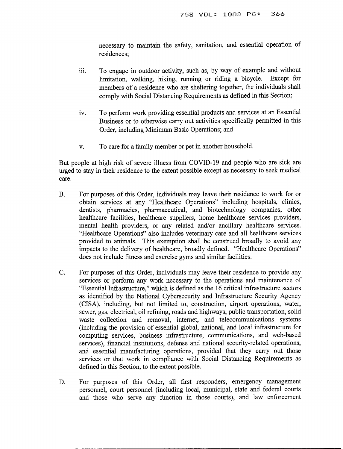necessary to maintain the safety, sanitation, and essential operation of residences;

- iii. To engage in outdoor activity, such as, by way of example and without limitation, walking, hiking, running or riding a bicycle. Except for members of a residence who are sheltering together, the individuals shall comply with Social Distancing Requirements as defined in this Section;
- iv. To perform work providing essential products and services at an Essential Business or to otherwise carry out activities specifically permitted in this Order, including Minimum Basic Operations; and
- v. To care for a family member or pet in another household.

But people at high risk of severe illness from COVID-19 and people who are sick are urged to stay in their residence to the extent possible except as necessary to seek medical care.

- B. For purposes of this Order, individuals may leave their residence to work for or obtain services at any "Healthcare Operations" including hospitals, clinics, dentists, pharmacies, pharmaceutical, and biotechnology companies, other healthcare facilities, healthcare suppliers, home healthcare services providers, mental health providers, or any related and/or ancillary healthcare services. "Healthcare Operations" also includes veterinary care and all healthcare services provided to animals. This exemption shall be construed broadly to avoid any impacts to the delivery of healthcare, broadly defined. "Healthcare Operations" does not include fitness and exercise gyms and similar facilities.
- C. For purposes of this Order, individuals may leave their residence to provide any services or perform any work necessary to the operations and maintenance of "Essential Infrastructure," which is defined as the 16 critical infrastructure sectors as identified by the National Cybersecurity and Infrastructure Security Agency (CISA), including, but not limited to, construction, airport operations, water, sewer, gas, electrical, oil refining, roads and highways, public transportation, solid waste collection and removal, internet, and telecommunications systems (including the provision of essential global, national, and local infrastructure for computing services, business infrastructure, communications, and web-based services), financial institutions, defense and national security-related operations, and essential manufacturing operations, provided that they carry out those services or that work in compliance with Social Distancing Requirements as defined in this Section, to the extent possible.
- D. For purposes of this Order, all first responders, emergency management personnel, court personnel (including local, municipal, state and federal courts and those who serve any function in those courts), and law enforcement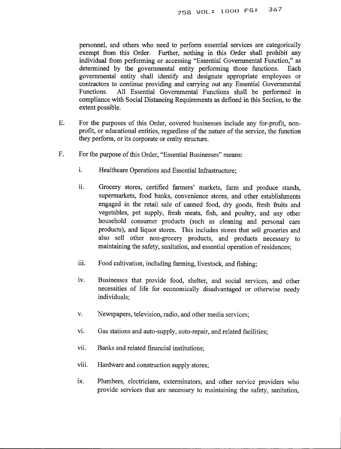personnel, and others who need to perform essential services are categorically exempt from this Order. Further, nothing in this Order shall prohibit any individual from performing or accessing "Essential Governmental Function," as determined by the governmental entity performing those functions. Each governmental entity shall identify and designate appropriate employees or contractors to continue providing and carrying out any Essential Governmental Functions. All Essential Governmental Functions shall be performed in compliance with Social Distancing Requirements as defined in this Section, to the extent possible.

- E. For the purposes of this Order, covered businesses include any for-profit, nonprofit, or educational entities, regardless of the nature of the service, the function they perform, or its corporate or entity structure.
- F. For the purpose of this Order, "Essential Businesses" means:
	- i. Healthcare Operations and Essential Infrastructure:
	- ii. Grocery stores, certified farmers' markets, farm and produce stands, supermarkets, food banks, convenience stores, and other establishments engaged in the retail sale of canned food, dry goods, fresh fruits and vegetables, pet supply, fresh meats, fish, and poultry, and any other household consumer products (such as cleaning and personal care products), and liquor stores. This includes stores that sell groceries and also sell other non-grocery products, and products necessary to maintaining the safety, sanitation, and essential operation of residences;
	- iii. Food cultivation, including farming, livestock, and fishing;
	- iv. Businesses that provide food, shelter, and social services, and other necessities of life for economically disadvantaged or otherwise needy individuals;
	- v. Newspapers, television, radio, and other media services;
	- VI. Gas stations and auto-supply, auto-repair, and related facilities;
	- vii. Banks and related financial institutions;
	- viii. Hardware and construction supply stores;
	- ix. Plumbers, electricians, exterminators, and other service providers who provide services that are necessary to maintaining the safety, sanitation,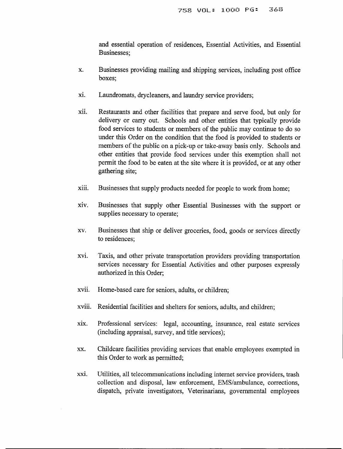and essential operation of residences, Essential Activities, and Essential Businesses;

- x. Businesses providing mailing and shipping services, including post office boxes;
- xi. Laundromats, drycleaners, and laundry service providers;
- xu. Restaurants and other facilities that prepare and serve food, but only for delivery or carry out. Schools and other entities that typically provide food services to students or members of the public may continue to do so under this Order on the condition that the food is provided to students or members of the public on a pick-up or take-away basis only. Schools and other entities that provide food services under this exemption shall not permit the food to be eaten at the site where it is provided, or at any other gathering site;
- xiii. Businesses that supply products needed for people to work from home;
- XIV. Businesses that supply other Essential Businesses with the support or supplies necessary to operate;
- xv. Businesses that ship or deliver groceries, food, goods or services directly to residences;
- XVI. Taxis, and other private transportation providers providing transportation services necessary for Essential Activities and other purposes expressly authorized in this Order;
- xvii. Home-based care for seniors, adults, or children;
- xviii. Residential facilities and shelters for seniors, adults, and children;
- XIX. Professional services: legal, accounting, insurance, real estate services (including appraisal, survey, and title services);
- xx. Childcare facilities providing services that enable employees exempted in this Order to work as permitted;
- XXI. Utilities, all telecommunicationsincluding internet service providers, trash collection and disposal, law enforcement, EMS/ambulance, corrections, dispatch, private investigators, Veterinarians, governmental employees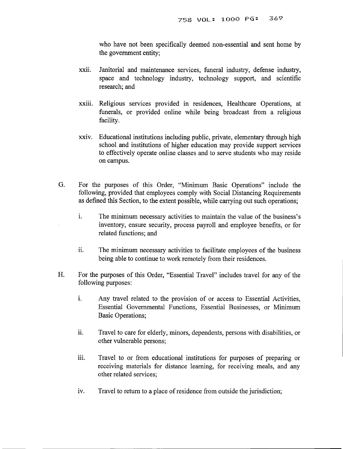who have not been specifically deemed non-essential and sent home by the government entity;

- XX11. Janitorial and maintenance services, funeral industry, defense industry, space and technology industry, technology support, and scientific research; and
- XX111. Religious services provided in residences, Healthcare Operations, at funerals, or provided online while being broadcast from a religious facility.
- XXIV. Educational institutions including public, private, elementary through high school and institutions of higher education may provide support services to effectively operate online classes and to serve students who may reside on campus.
- G. For the purposes of this Order, "Minimum Basic Operations" include the following, provided that employees comply with Social Distancing Requirements as defined this Section, to the extent possible, while carrying out such operations;
	- i. The minimum necessary activities to maintain the value of the business's inventory, ensure security, process payroll and employee benefits, or for related functions; and
	- ii. The minimum necessary activities to facilitate employees of the business being able to continue to work remotely from their residences.
- H. For the purposes of this Order, "Essential Travel" includes travel for any of the following purposes:
	- 1. Any travel related to the provision of or access to Essential Activities, Essential Governmental Functions, Essential Businesses, or Minimum Basic Operations;
	- 11. Travel to care for elderly, minors, dependents, persons with disabilities, or other vulnerable persons;
	- iii. Travel to or from educational institutions for purposes of preparing or receiving materials for distance learning, for receiving meals, and any other related services;
	- iv. Travel to return to a place of residence from outside the jurisdiction;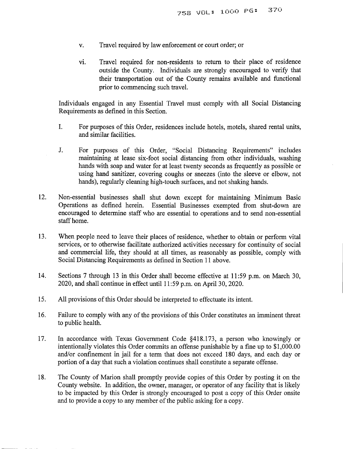- v. Travel required by law enforcement or court order; or
- VI. Travel required for non-residents to return to their place of residence outside the County. Individuals are strongly encouraged to verify that their transportation out of the County remains available and functional prior to commencing such travel.

Individuals engaged in any Essential Travel must comply with all Social Distancing Requirements as defined in this Section.

- 1. For purposes of this Order, residences include hotels, motels, shared rental units, and similar facilities.
- J. For purposes of this Order, "Social Distancing Requirements" includes maintaining at lease six-foot social distancing from other individuals, washing hands with soap and water for at least twenty seconds as frequently as possible or using hand sanitizer, covering coughs or sneezes (into the sleeve or elbow, not hands), regularly cleaning high-touch surfaces, and not shaking hands.
- 12. Non-essential businesses shall shut down except for maintaining Minimum Basic Operations as defined herein. Essential Businesses exempted from shut-down are encouraged to determine staff who are essential to operations and to send non-essential staff home.
- 13. When people need to leave their places of residence, whether to obtain or perform vital services, or to otherwise facilitate authorized activities necessary for continuity of social and commercial life, they should at all times, as reasonably as possible, comply with Social Distancing Requirements as defined in Section 11 above.
- 14. Sections 7 through 13 in this Order shall become effective at 11:59 p.m. on March 30, 2020, and shall continue in effect until 11:59 p.m. on April 30, 2020.
- 15. All provisions of this Order should be interpreted to effectuate its intent.
- 16. Failure to comply with any of the provisions of this Order constitutes an imminent threat to public health.
- 17. In accordance with Texas Government Code §418.173, a person who knowingly or intentionally violates this Order commits an offense punishable by a fine up to \$1,000.00 and/or confinement in jail for a term that does not exceed 180 days, and each day or portion of a day that such a violation continues shall constitute a separate offense.
- 18. The County of Marion shall promptly provide copies of this Order by posting it on the County website. In addition, the owner, manager, or operator of any facility that is likely to be impacted by this Order is strongly encouraged to post a copy of this Order onsite and to provide a copy to any member of the public asking for a copy.